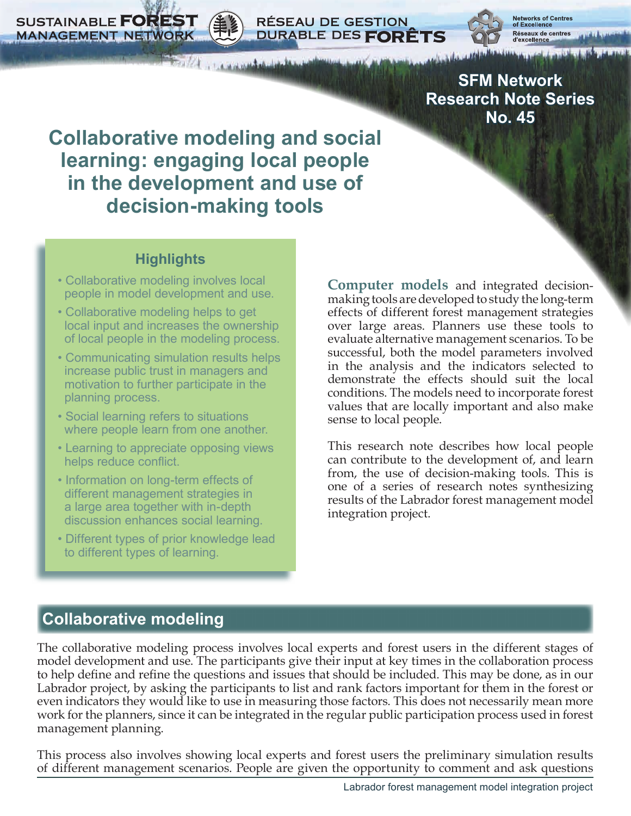**SUSTAINABLE FOREST MANAGEMENT NETWORK** 



**SFM Network Research Note Series No. 45**

# **Collaborative modeling and social learning: engaging local people in the development and use of decision-making tools**

borter and and the book

**RÉSEAU DE GESTION** 

DURABLE DES FORÊTS

#### **Highlights**

- Collaborative modeling involves local people in model development and use.
- Collaborative modeling helps to get local input and increases the ownership of local people in the modeling process.
- Communicating simulation results helps increase public trust in managers and motivation to further participate in the planning process.
- Social learning refers to situations where people learn from one another.
- Learning to appreciate opposing views helps reduce conflict.
- Information on long-term effects of different management strategies in a large area together with in-depth discussion enhances social learning.
- Different types of prior knowledge lead to different types of learning.

**Computer models** and integrated decisionmaking tools are developed to study the long-term effects of different forest management strategies over large areas. Planners use these tools to evaluate alternative management scenarios. To be successful, both the model parameters involved in the analysis and the indicators selected to demonstrate the effects should suit the local conditions. The models need to incorporate forest values that are locally important and also make sense to local people.

This research note describes how local people can contribute to the development of, and learn from, the use of decision-making tools. This is one of a series of research notes synthesizing results of the Labrador forest management model integration project.

# **Collaborative modeling**

The collaborative modeling process involves local experts and forest users in the different stages of model development and use. The participants give their input at key times in the collaboration process to help define and refine the questions and issues that should be included. This may be done, as in our Labrador project, by asking the participants to list and rank factors important for them in the forest or even indicators they would like to use in measuring those factors. This does not necessarily mean more work for the planners, since it can be integrated in the regular public participation process used in forest management planning.

This process also involves showing local experts and forest users the preliminary simulation results of different management scenarios. People are given the opportunity to comment and ask questions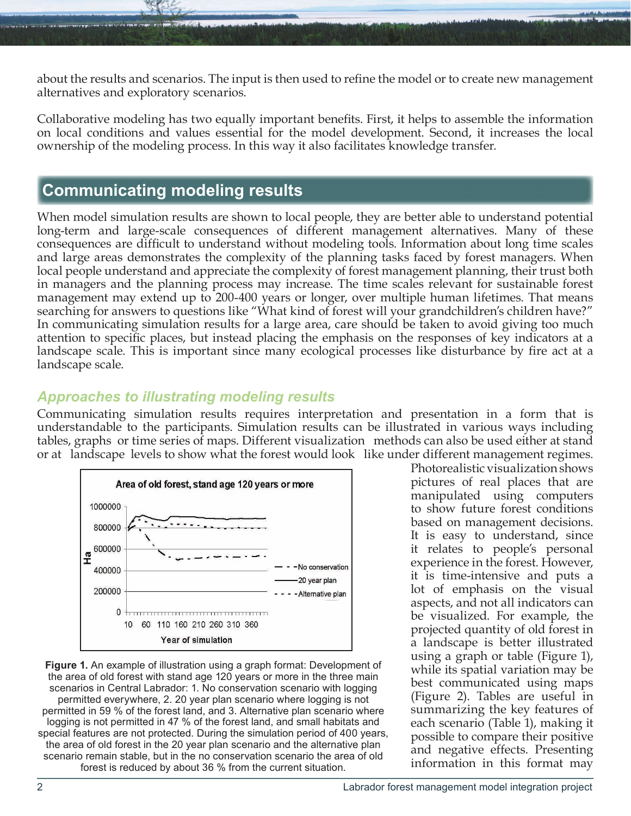about the results and scenarios. The input is then used to refine the model or to create new management alternatives and exploratory scenarios.

Collaborative modeling has two equally important benefits. First, it helps to assemble the information on local conditions and values essential for the model development. Second, it increases the local ownership of the modeling process. In this way it also facilitates knowledge transfer.

### **Communicating modeling results**

When model simulation results are shown to local people, they are better able to understand potential long-term and large-scale consequences of different management alternatives. Many of these consequences are difficult to understand without modeling tools. Information about long time scales and large areas demonstrates the complexity of the planning tasks faced by forest managers. When local people understand and appreciate the complexity of forest management planning, their trust both in managers and the planning process may increase. The time scales relevant for sustainable forest management may extend up to 200-400 years or longer, over multiple human lifetimes. That means searching for answers to questions like "What kind of forest will your grandchildren's children have?" In communicating simulation results for a large area, care should be taken to avoid giving too much attention to specific places, but instead placing the emphasis on the responses of key indicators at a landscape scale. This is important since many ecological processes like disturbance by fire act at a landscape scale.

#### *Approaches to illustrating modeling results*

Communicating simulation results requires interpretation and presentation in a form that is understandable to the participants. Simulation results can be illustrated in various ways including tables, graphs or time series of maps. Different visualization methods can also be used either at stand or at landscape levels to show what the forest would look like under different management regimes.



**Figure 1.** An example of illustration using a graph format: Development of the area of old forest with stand age 120 years or more in the three main scenarios in Central Labrador: 1. No conservation scenario with logging permitted everywhere, 2. 20 year plan scenario where logging is not permitted in 59 % of the forest land, and 3. Alternative plan scenario where logging is not permitted in 47 % of the forest land, and small habitats and special features are not protected. During the simulation period of 400 years, the area of old forest in the 20 year plan scenario and the alternative plan scenario remain stable, but in the no conservation scenario the area of old forest is reduced by about 36 % from the current situation.

Photorealistic visualization shows pictures of real places that are manipulated using computers to show future forest conditions based on management decisions. It is easy to understand, since it relates to people's personal experience in the forest. However, it is time-intensive and puts a lot of emphasis on the visual aspects, and not all indicators can be visualized. For example, the projected quantity of old forest in a landscape is better illustrated using a graph or table (Figure 1), while its spatial variation may be best communicated using maps (Figure 2). Tables are useful in summarizing the key features of each scenario (Table 1), making it possible to compare their positive and negative effects. Presenting information in this format may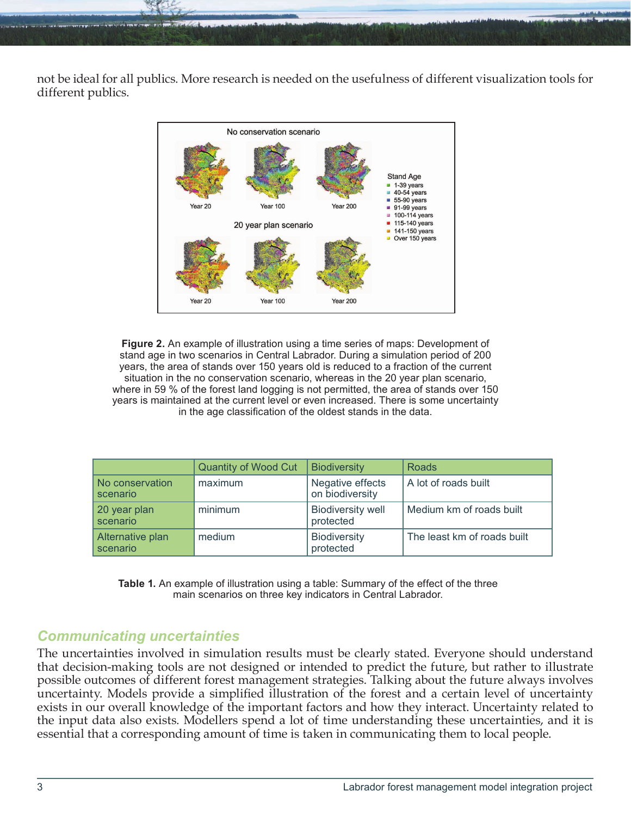not be ideal for all publics. More research is needed on the usefulness of different visualization tools for different publics.



**Figure 2.** An example of illustration using a time series of maps: Development of stand age in two scenarios in Central Labrador. During a simulation period of 200 years, the area of stands over 150 years old is reduced to a fraction of the current situation in the no conservation scenario, whereas in the 20 year plan scenario, where in 59 % of the forest land logging is not permitted, the area of stands over 150 years is maintained at the current level or even increased. There is some uncertainty in the age classification of the oldest stands in the data.

|                              | Quantity of Wood Cut | <b>Biodiversity</b>                   | Roads                       |
|------------------------------|----------------------|---------------------------------------|-----------------------------|
| No conservation<br>scenario  | maximum              | Negative effects<br>on biodiversity   | A lot of roads built        |
| 20 year plan<br>scenario     | minimum              | <b>Biodiversity well</b><br>protected | Medium km of roads built    |
| Alternative plan<br>scenario | medium               | <b>Biodiversity</b><br>protected      | The least km of roads built |

**Table 1.** An example of illustration using a table: Summary of the effect of the three main scenarios on three key indicators in Central Labrador.

#### *Communicating uncertainties*

The uncertainties involved in simulation results must be clearly stated. Everyone should understand that decision-making tools are not designed or intended to predict the future, but rather to illustrate possible outcomes of different forest management strategies. Talking about the future always involves uncertainty. Models provide a simplified illustration of the forest and a certain level of uncertainty exists in our overall knowledge of the important factors and how they interact. Uncertainty related to the input data also exists. Modellers spend a lot of time understanding these uncertainties, and it is essential that a corresponding amount of time is taken in communicating them to local people.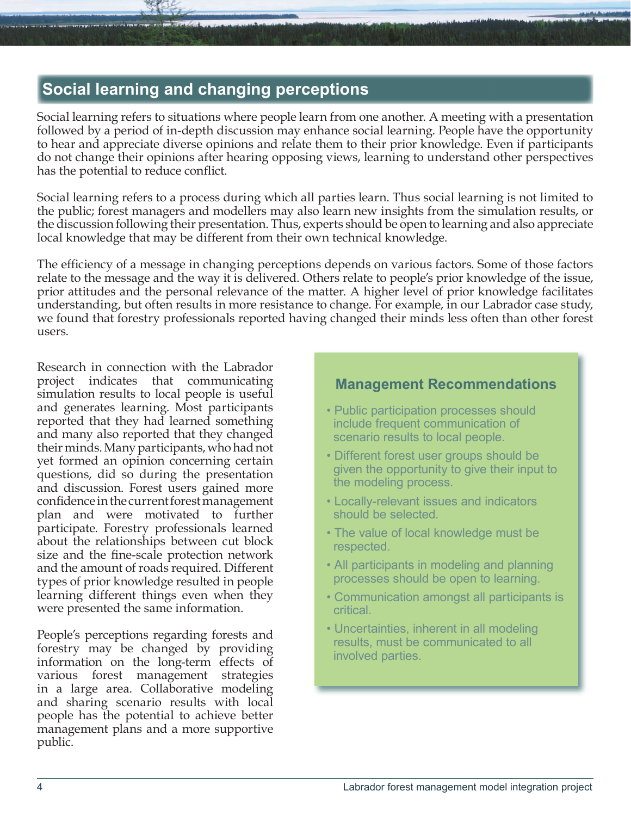## **Social learning and changing perceptions**

Social learning refers to situations where people learn from one another. A meeting with a presentation followed by a period of in-depth discussion may enhance social learning. People have the opportunity to hear and appreciate diverse opinions and relate them to their prior knowledge. Even if participants do not change their opinions after hearing opposing views, learning to understand other perspectives has the potential to reduce conflict.

Social learning refers to a process during which all parties learn. Thus social learning is not limited to the public; forest managers and modellers may also learn new insights from the simulation results, or the discussion following their presentation. Thus, experts should be open to learning and also appreciate local knowledge that may be different from their own technical knowledge.

The efficiency of a message in changing perceptions depends on various factors. Some of those factors relate to the message and the way it is delivered. Others relate to people's prior knowledge of the issue, prior attitudes and the personal relevance of the matter. A higher level of prior knowledge facilitates understanding, but often results in more resistance to change. For example, in our Labrador case study, we found that forestry professionals reported having changed their minds less often than other forest users.

Research in connection with the Labrador project indicates that communicating simulation results to local people is useful and generates learning. Most participants reported that they had learned something and many also reported that they changed their minds. Many participants, who had not yet formed an opinion concerning certain questions, did so during the presentation and discussion. Forest users gained more confidence in the current forest management plan and were motivated to further participate. Forestry professionals learned about the relationships between cut block size and the fine-scale protection network and the amount of roads required. Different types of prior knowledge resulted in people learning different things even when they were presented the same information.

People's perceptions regarding forests and forestry may be changed by providing information on the long-term effects of various forest management strategies in a large area. Collaborative modeling and sharing scenario results with local people has the potential to achieve better management plans and a more supportive public.

#### **Management Recommendations**

- Public participation processes should include frequent communication of scenario results to local people.
- Different forest user groups should be given the opportunity to give their input to the modeling process.
- Locally-relevant issues and indicators should be selected.
- The value of local knowledge must be respected.
- All participants in modeling and planning processes should be open to learning.
- Communication amongst all participants is critical.
- Uncertainties, inherent in all modeling results, must be communicated to all involved parties.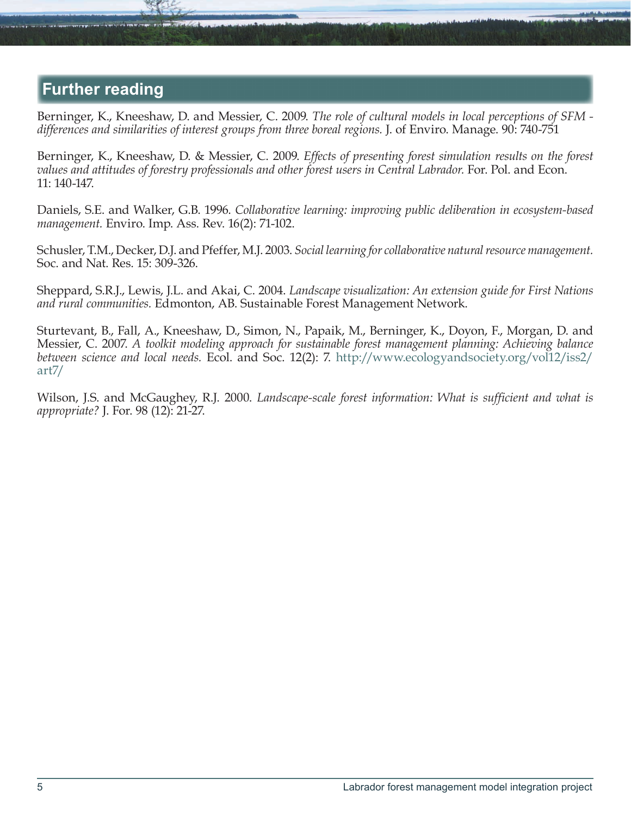### **Further reading**

Berninger, K., Kneeshaw, D. and Messier, C. 2009. *The role of cultural models in local perceptions of SFM differences and similarities of interest groups from three boreal regions.* J. of Enviro. Manage. 90: 740-751

Berninger, K., Kneeshaw, D. & Messier, C. 2009. *Effects of presenting forest simulation results on the forest values and attitudes of forestry professionals and other forest users in Central Labrador.* For. Pol. and Econ. 11: 140-147.

Daniels, S.E. and Walker, G.B. 1996. *Collaborative learning: improving public deliberation in ecosystem-based management.* Enviro. Imp. Ass. Rev. 16(2): 71-102.

Schusler, T.M., Decker, D.J. and Pfeffer, M.J. 2003. *Social learning for collaborative natural resource management.* Soc. and Nat. Res. 15: 309-326.

Sheppard, S.R.J., Lewis, J.L. and Akai, C. 2004. *Landscape visualization: An extension guide for First Nations and rural communities.* Edmonton, AB. Sustainable Forest Management Network.

Sturtevant, B., Fall, A., Kneeshaw, D., Simon, N., Papaik, M., Berninger, K., Doyon, F., Morgan, D. and Messier, C. 2007. *A toolkit modeling approach for sustainable forest management planning: Achieving balance between science and local needs.* Ecol. and Soc. 12(2): 7. [http://www.ecologyandsociety.org/vol12/iss2/](http://www.ecologyandsociety.org/vol12/iss2/art7/) [art7/](http://www.ecologyandsociety.org/vol12/iss2/art7/)

Wilson, J.S. and McGaughey, R.J. 2000. *Landscape-scale forest information: What is sufficient and what is appropriate?* J. For. 98 (12): 21-27.